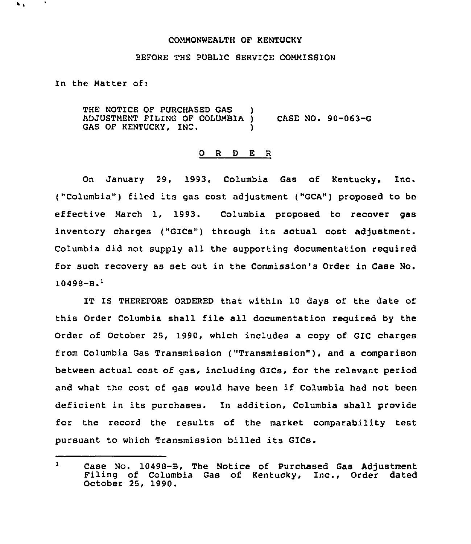## COMMONWEALTH OF KENTUCKY

## BEFORE THE PUBLIC SERVICE COMMISSION

In the Matter of:

 $\bullet$  .

THE NOTICE OF PURCHASED GAS ADJUSTMENT FILING OF COLUMBIA ) CASE NO. 90-063-G GAS OF KENTUCKY, INC.

## O R D E R

On January 29, 1993, Columbia Gas of Kentucky, Inc. ("Columbia") filed its gas cost adjustment ("GCA") proposed to be effective March 1, 1993. Columbia proposed to recover gas inventory charges ("GICs"} through its actual cost adjustment. Columbia did not supply all the supporting documentation required for such recovery as set out in the Commission's Order in Case No.  $10498 - B.$ <sup>1</sup>

IT IS THEREFORE ORDERED that within 10 days of the date of this Order Columbia shall file all documentation required by the Order of October 25, 1990, which includes a copy of GIC charges from Columbia Gas Transmission ("Transmission" ), and <sup>a</sup> comparison between actual cost of gas, including GICs, for the relevant period and what the cost of gas would have been if Columbia had not been deficient in its purchases. In addition, Columbia shall provide for the record the results of the market comparability test pursuant to which Transmission billed its GICs.

 $\mathbf{1}$ Case No. 10498-B, The Notice of Purchased Gas Adjustment Filing of Columbia Gas of Kentucky, Inc., Order dated October 25, 1990.